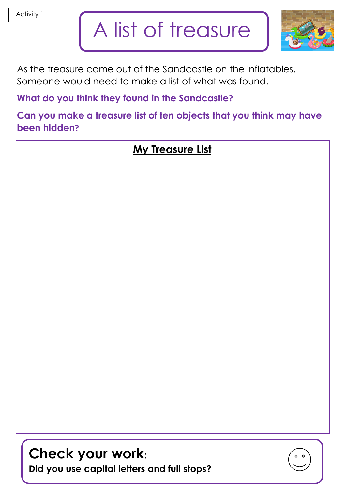## A list of treasure



 As the treasure came out of the Sandcastle on the inflatables. Someone would need to make a list of what was found.

**What do you think they found in the Sandcastle?**

**Can you make a treasure list of ten objects that you think may have been hidden?**

## **My Treasure List**

**Check your work: Did you use capital letters and full stops?**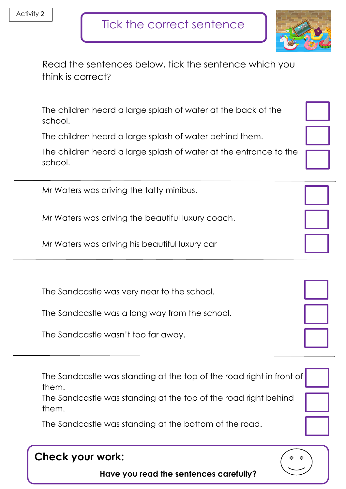

|                   | Read the sentences below, tick the sentence which you |
|-------------------|-------------------------------------------------------|
| think is correct? |                                                       |

The children heard a large splash of water at the back of the school.

The children heard a large splash of water behind them.

The children heard a large splash of water at the entrance to the school.

Mr Waters was driving the tatty minibus.

Mr Waters was driving the beautiful luxury coach.

Mr Waters was driving his beautiful luxury car

The Sandcastle was very near to the school.

The Sandcastle was a long way from the school.

The Sandcastle wasn't too far away.

The Sandcastle was standing at the top of the road right in front of them.

The Sandcastle was standing at the top of the road right behind them.

The Sandcastle was standing at the bottom of the road.